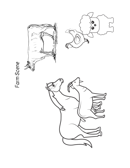

## Farm Scene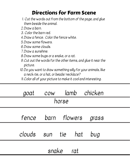## Directions for Farm Scene

- Cut the words out from the bottom of the page, and glue 1. them beside the animal.
- 2.Draw a barn.
- 3. Color the barn red.
- Draw a fence. Color the fence white. 4.
- Draw some flowers. 5.
- 6.Draw some clouds.
- Draw a sunshine. 7.
- 8.Draw some bugs or a snake, or a rat.
- Cut out the words for the other items, and glue it near the 9. picture.
- 10.Do you want to draw something silly for your animals, like a neck-tie, or a hat, or beads/ necklace?
- Color all of your picture to make it cool and interesting. 11.

|           |                          |  |  |  | goat cow lamb chicken |  |
|-----------|--------------------------|--|--|--|-----------------------|--|
| horse     |                          |  |  |  |                       |  |
|           | fence barn flowers grass |  |  |  |                       |  |
|           | clouds sun tie hat bug   |  |  |  |                       |  |
| snake rat |                          |  |  |  |                       |  |